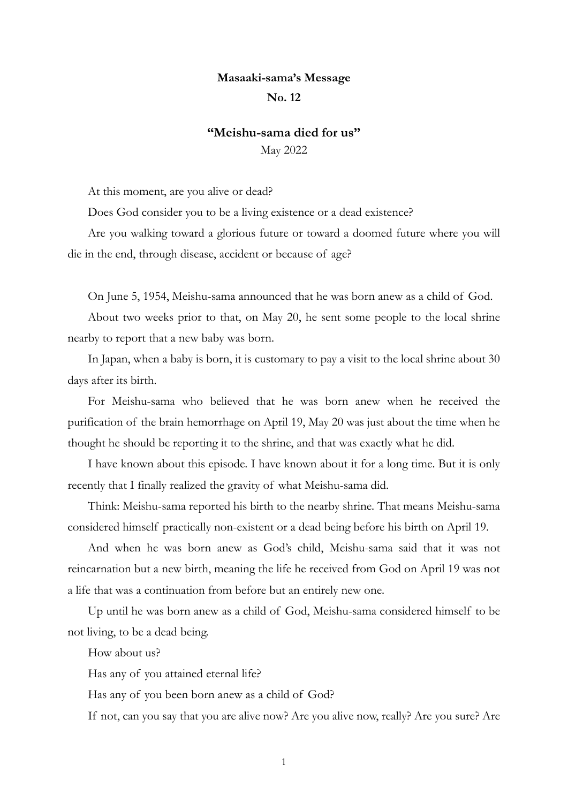## **Masaaki-sama's Message**

## **No. 12**

## **"Meishu-sama died for us"** May 2022

At this moment, are you alive or dead?

Does God consider you to be a living existence or a dead existence?

Are you walking toward a glorious future or toward a doomed future where you will die in the end, through disease, accident or because of age?

On June 5, 1954, Meishu-sama announced that he was born anew as a child of God.

About two weeks prior to that, on May 20, he sent some people to the local shrine nearby to report that a new baby was born.

In Japan, when a baby is born, it is customary to pay a visit to the local shrine about 30 days after its birth.

For Meishu-sama who believed that he was born anew when he received the purification of the brain hemorrhage on April 19, May 20 was just about the time when he thought he should be reporting it to the shrine, and that was exactly what he did.

I have known about this episode. I have known about it for a long time. But it is only recently that I finally realized the gravity of what Meishu-sama did.

Think: Meishu-sama reported his birth to the nearby shrine. That means Meishu-sama considered himself practically non-existent or a dead being before his birth on April 19.

And when he was born anew as God's child, Meishu-sama said that it was not reincarnation but a new birth, meaning the life he received from God on April 19 was not a life that was a continuation from before but an entirely new one.

Up until he was born anew as a child of God, Meishu-sama considered himself to be not living, to be a dead being.

How about us?

Has any of you attained eternal life?

Has any of you been born anew as a child of God?

If not, can you say that you are alive now? Are you alive now, really? Are you sure? Are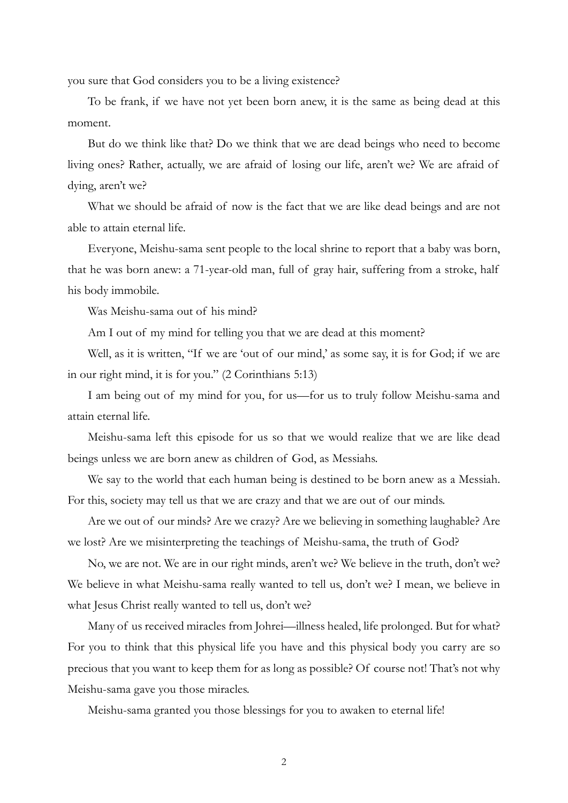you sure that God considers you to be a living existence?

To be frank, if we have not yet been born anew, it is the same as being dead at this moment.

But do we think like that? Do we think that we are dead beings who need to become living ones? Rather, actually, we are afraid of losing our life, aren't we? We are afraid of dying, aren't we?

What we should be afraid of now is the fact that we are like dead beings and are not able to attain eternal life.

Everyone, Meishu-sama sent people to the local shrine to report that a baby was born, that he was born anew: a 71-year-old man, full of gray hair, suffering from a stroke, half his body immobile.

Was Meishu-sama out of his mind?

Am I out of my mind for telling you that we are dead at this moment?

Well, as it is written, "If we are 'out of our mind,' as some say, it is for God; if we are in our right mind, it is for you." (2 Corinthians 5:13)

I am being out of my mind for you, for us—for us to truly follow Meishu-sama and attain eternal life.

Meishu-sama left this episode for us so that we would realize that we are like dead beings unless we are born anew as children of God, as Messiahs.

We say to the world that each human being is destined to be born anew as a Messiah. For this, society may tell us that we are crazy and that we are out of our minds.

Are we out of our minds? Are we crazy? Are we believing in something laughable? Are we lost? Are we misinterpreting the teachings of Meishu-sama, the truth of God?

No, we are not. We are in our right minds, aren't we? We believe in the truth, don't we? We believe in what Meishu-sama really wanted to tell us, don't we? I mean, we believe in what Jesus Christ really wanted to tell us, don't we?

Many of us received miracles from Johrei—illness healed, life prolonged. But for what? For you to think that this physical life you have and this physical body you carry are so precious that you want to keep them for as long as possible? Of course not! That's not why Meishu-sama gave you those miracles.

Meishu-sama granted you those blessings for you to awaken to eternal life!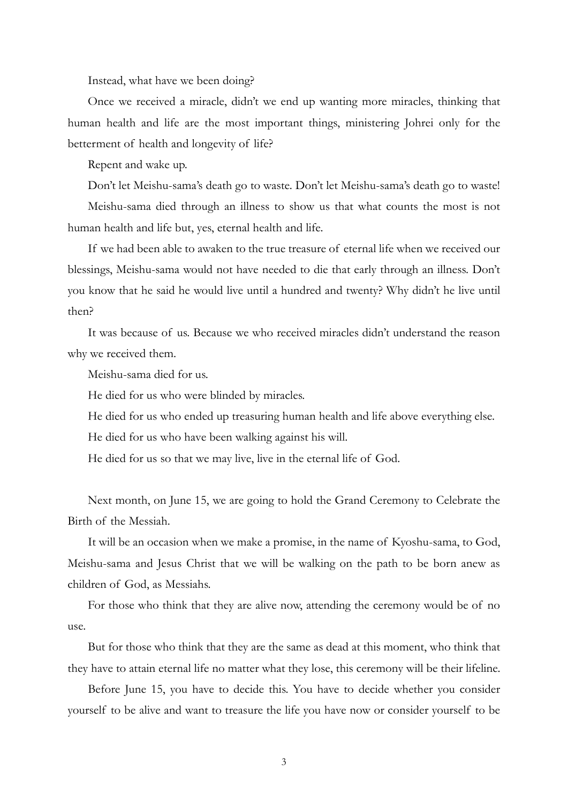Instead, what have we been doing?

Once we received a miracle, didn't we end up wanting more miracles, thinking that human health and life are the most important things, ministering Johrei only for the betterment of health and longevity of life?

Repent and wake up.

Don't let Meishu-sama's death go to waste. Don't let Meishu-sama's death go to waste!

Meishu-sama died through an illness to show us that what counts the most is not human health and life but, yes, eternal health and life.

If we had been able to awaken to the true treasure of eternal life when we received our blessings, Meishu-sama would not have needed to die that early through an illness. Don't you know that he said he would live until a hundred and twenty? Why didn't he live until then?

It was because of us. Because we who received miracles didn't understand the reason why we received them.

Meishu-sama died for us.

He died for us who were blinded by miracles.

He died for us who ended up treasuring human health and life above everything else.

He died for us who have been walking against his will.

He died for us so that we may live, live in the eternal life of God.

Next month, on June 15, we are going to hold the Grand Ceremony to Celebrate the Birth of the Messiah.

It will be an occasion when we make a promise, in the name of Kyoshu-sama, to God, Meishu-sama and Jesus Christ that we will be walking on the path to be born anew as children of God, as Messiahs.

For those who think that they are alive now, attending the ceremony would be of no use.

But for those who think that they are the same as dead at this moment, who think that they have to attain eternal life no matter what they lose, this ceremony will be their lifeline.

Before June 15, you have to decide this. You have to decide whether you consider yourself to be alive and want to treasure the life you have now or consider yourself to be